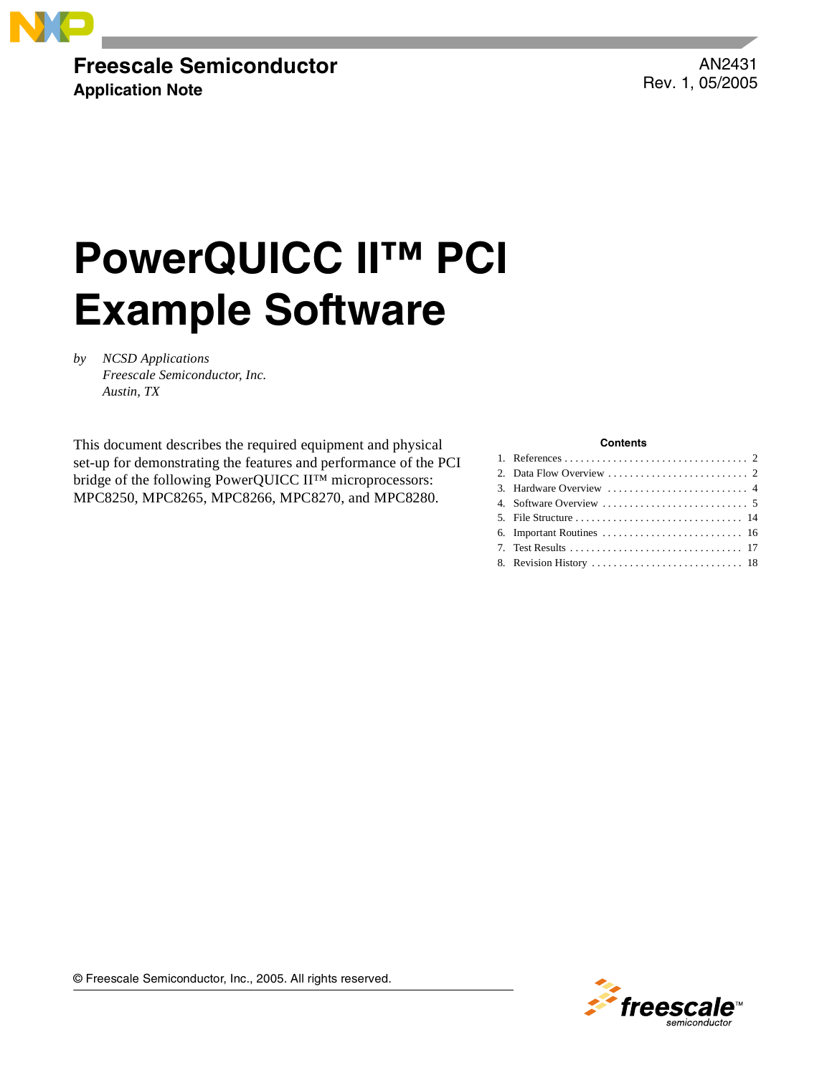

### **Freescale Semiconductor Application Note**

AN2431 Rev. 1, 05/2005

# **PowerQUICC II™ PCI Example Software**

*by NCSD Applications Freescale Semiconductor, Inc. Austin, TX*

This document describes the required equipment and physical set-up for demonstrating the features and performance of the PCI bridge of the following PowerQUICC II™ microprocessors: MPC8250, MPC8265, MPC8266, MPC8270, and MPC8280.

#### **Contents**

© Freescale Semiconductor, Inc., 2005. All rights reserved.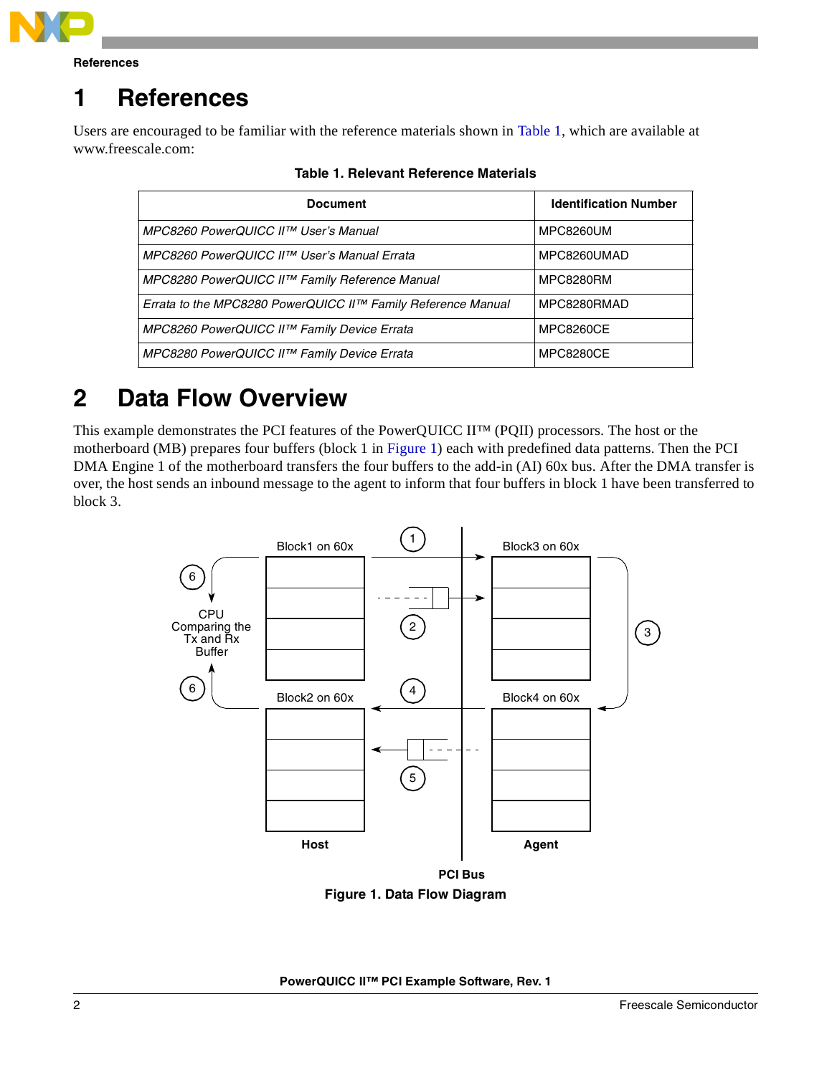

## <span id="page-1-0"></span>**1 References**

<span id="page-1-3"></span>Users are encouraged to be familiar with the reference materials shown in [Table 1,](#page-1-3) which are available at www.freescale.com:

| <b>Document</b>                                              | <b>Identification Number</b> |
|--------------------------------------------------------------|------------------------------|
| MPC8260 PowerQUICC II™ User's Manual                         | <b>MPC8260UM</b>             |
| MPC8260 PowerQUICC II™ User's Manual Errata                  | MPC8260UMAD                  |
| MPC8280 PowerQUICC II™ Family Reference Manual               | MPC8280RM                    |
| Errata to the MPC8280 PowerQUICC II™ Family Reference Manual | MPC8280RMAD                  |
| MPC8260 PowerQUICC II™ Family Device Errata                  | MPC8260CE                    |
| MPC8280 PowerQUICC II™ Family Device Errata                  | <b>MPC8280CE</b>             |

#### **Table 1. Relevant Reference Materials**

## <span id="page-1-1"></span>**2 Data Flow Overview**

This example demonstrates the PCI features of the PowerQUICC II™ (PQII) processors. The host or the motherboard (MB) prepares four buffers (block 1 in [Figure 1](#page-1-2)) each with predefined data patterns. Then the PCI DMA Engine 1 of the motherboard transfers the four buffers to the add-in (AI) 60x bus. After the DMA transfer is over, the host sends an inbound message to the agent to inform that four buffers in block 1 have been transferred to block 3.



<span id="page-1-2"></span>**Figure 1. Data Flow Diagram**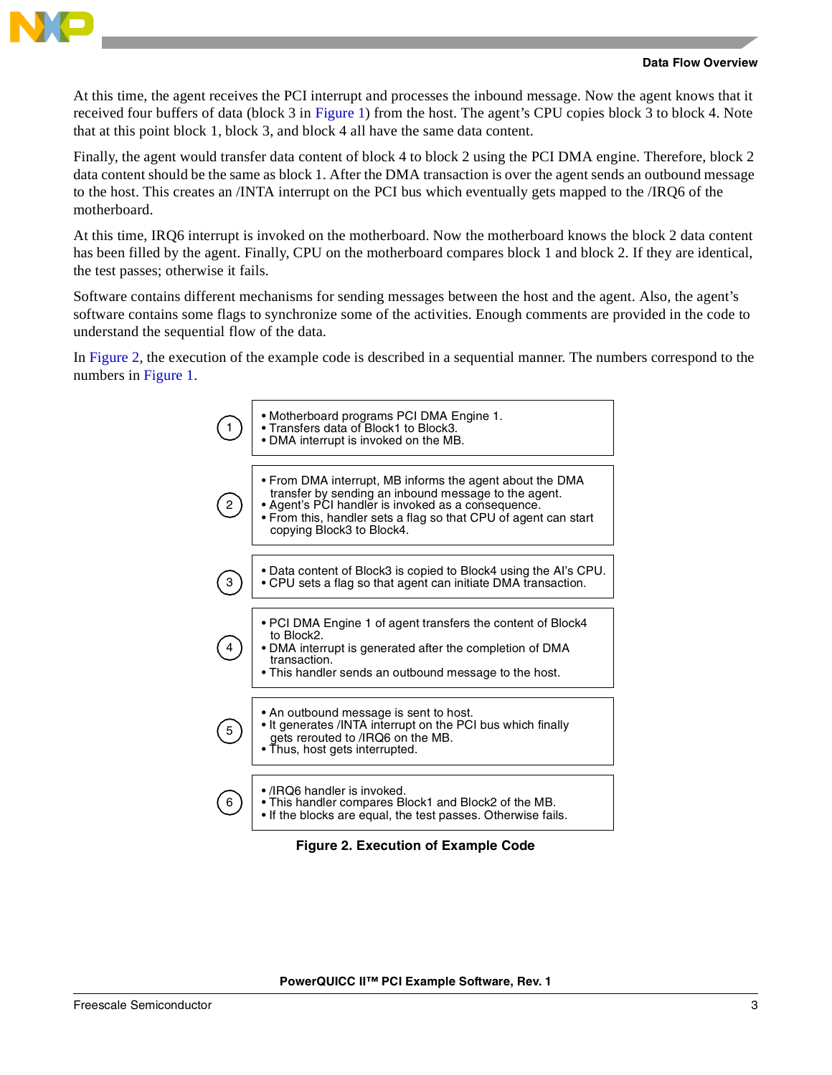

At this time, the agent receives the PCI interrupt and processes the inbound message. Now the agent knows that it received four buffers of data (block 3 in [Figure 1\)](#page-1-2) from the host. The agent's CPU copies block 3 to block 4. Note that at this point block 1, block 3, and block 4 all have the same data content.

Finally, the agent would transfer data content of block 4 to block 2 using the PCI DMA engine. Therefore, block 2 data content should be the same as block 1. After the DMA transaction is over the agent sends an outbound message to the host. This creates an /INTA interrupt on the PCI bus which eventually gets mapped to the /IRQ6 of the motherboard.

At this time, IRQ6 interrupt is invoked on the motherboard. Now the motherboard knows the block 2 data content has been filled by the agent. Finally, CPU on the motherboard compares block 1 and block 2. If they are identical, the test passes; otherwise it fails.

Software contains different mechanisms for sending messages between the host and the agent. Also, the agent's software contains some flags to synchronize some of the activities. Enough comments are provided in the code to understand the sequential flow of the data.

In [Figure 2,](#page-2-0) the execution of the example code is described in a sequential manner. The numbers correspond to the numbers in [Figure 1.](#page-1-2)



<span id="page-2-0"></span>**Figure 2. Execution of Example Code**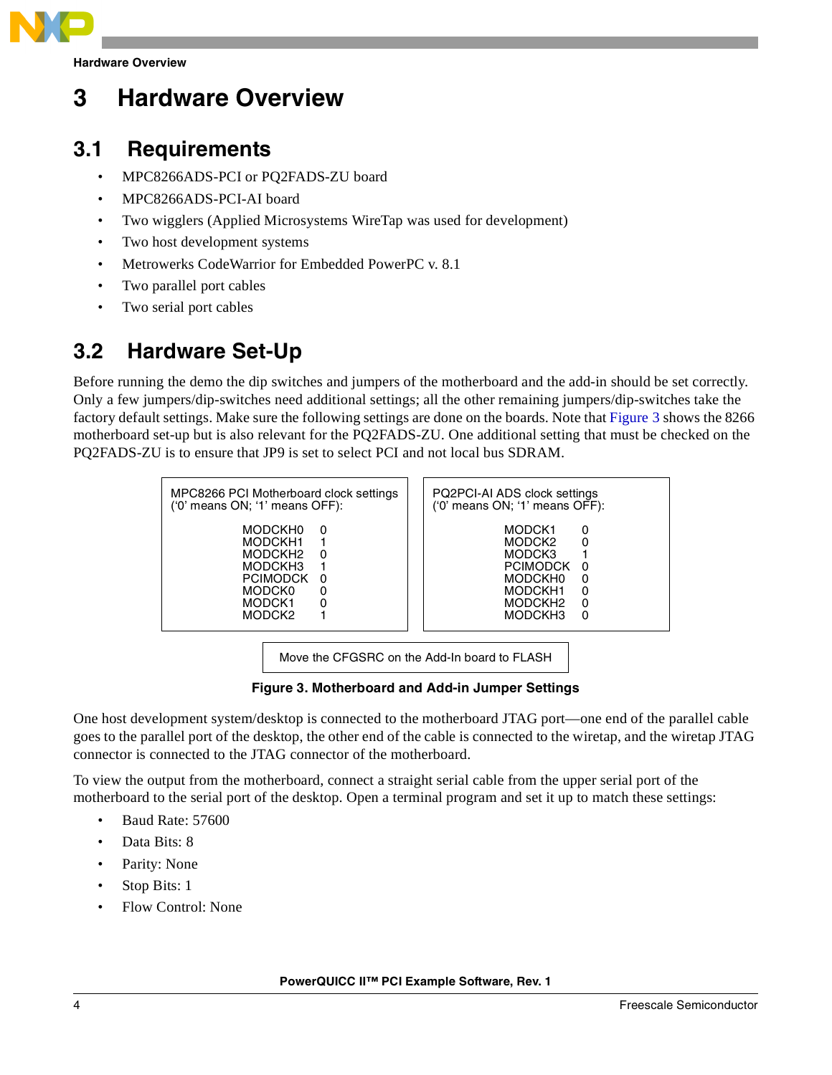

**Hardware Overview**

## <span id="page-3-0"></span>**3 Hardware Overview**

### **3.1 Requirements**

- MPC8266ADS-PCI or PQ2FADS-ZU board
- MPC8266ADS-PCI-AI board
- Two wigglers (Applied Microsystems WireTap was used for development)
- Two host development systems
- Metrowerks CodeWarrior for Embedded PowerPC v. 8.1
- Two parallel port cables
- Two serial port cables

## <span id="page-3-2"></span>**3.2 Hardware Set-Up**

Before running the demo the dip switches and jumpers of the motherboard and the add-in should be set correctly. Only a few jumpers/dip-switches need additional settings; all the other remaining jumpers/dip-switches take the factory default settings. Make sure the following settings are done on the boards. Note that [Figure 3](#page-3-1) shows the 8266 motherboard set-up but is also relevant for the PQ2FADS-ZU. One additional setting that must be checked on the PQ2FADS-ZU is to ensure that JP9 is set to select PCI and not local bus SDRAM.

| MPC8266 PCI Motherboard clock settings<br>('0' means ON; '1' means OFF):                         |             |
|--------------------------------------------------------------------------------------------------|-------------|
| <b>MODCKH0</b><br>MODCKH1<br>MODCKH2<br>MODCKH3<br><b>PCIMODCK</b><br>MODCK0<br>MODCK1<br>MODCK2 | O<br>O<br>O |
|                                                                                                  |             |

| PQ2PCI-AI ADS clock settings<br>('0' means ON; '1' means OFF):                                         |                       |
|--------------------------------------------------------------------------------------------------------|-----------------------|
| MODCK1<br>MODCK2<br>MODCK3<br><b>PCIMODCK</b><br>MODCKH <sub>0</sub><br>MODCKH1<br>MODCKH2<br>MODCKH3_ | 1<br>O<br>ŋ<br>ŋ<br>O |

Move the CFGSRC on the Add-In board to FLASH

**Figure 3. Motherboard and Add-in Jumper Settings**

<span id="page-3-1"></span>One host development system/desktop is connected to the motherboard JTAG port—one end of the parallel cable goes to the parallel port of the desktop, the other end of the cable is connected to the wiretap, and the wiretap JTAG connector is connected to the JTAG connector of the motherboard.

To view the output from the motherboard, connect a straight serial cable from the upper serial port of the motherboard to the serial port of the desktop. Open a terminal program and set it up to match these settings:

- Baud Rate: 57600
- Data Bits: 8
- Parity: None
- Stop Bits: 1
- Flow Control: None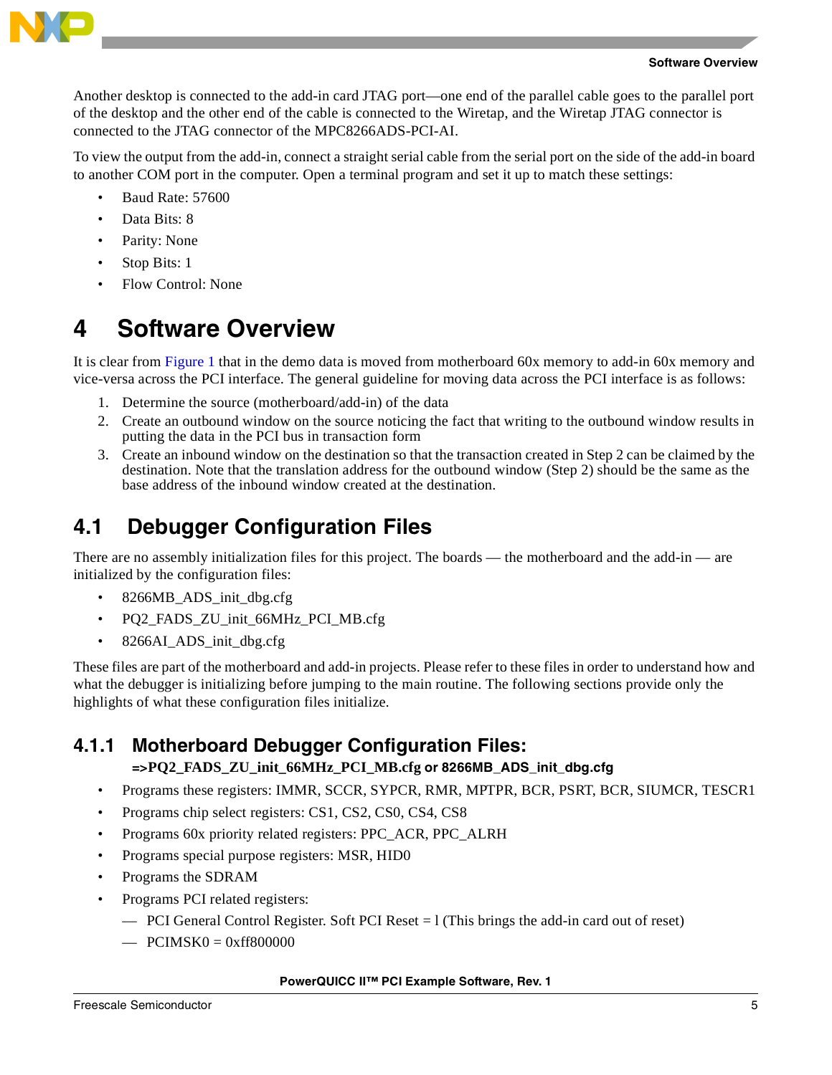

Another desktop is connected to the add-in card JTAG port—one end of the parallel cable goes to the parallel port of the desktop and the other end of the cable is connected to the Wiretap, and the Wiretap JTAG connector is connected to the JTAG connector of the MPC8266ADS-PCI-AI.

To view the output from the add-in, connect a straight serial cable from the serial port on the side of the add-in board to another COM port in the computer. Open a terminal program and set it up to match these settings:

- Baud Rate: 57600
- Data Bits: 8
- Parity: None
- Stop Bits: 1
- Flow Control: None

## <span id="page-4-0"></span>**4 Software Overview**

It is clear from [Figure 1](#page-1-2) that in the demo data is moved from motherboard 60x memory to add-in 60x memory and vice-versa across the PCI interface. The general guideline for moving data across the PCI interface is as follows:

- 1. Determine the source (motherboard/add-in) of the data
- 2. Create an outbound window on the source noticing the fact that writing to the outbound window results in putting the data in the PCI bus in transaction form
- 3. Create an inbound window on the destination so that the transaction created in Step 2 can be claimed by the destination. Note that the translation address for the outbound window (Step 2) should be the same as the base address of the inbound window created at the destination.

## **4.1 Debugger Configuration Files**

There are no assembly initialization files for this project. The boards — the motherboard and the add-in — are initialized by the configuration files:

- 8266MB\_ADS\_init\_dbg.cfg
- PQ2\_FADS\_ZU\_init\_66MHz\_PCI\_MB.cfg
- 8266AI\_ADS\_init\_dbg.cfg

These files are part of the motherboard and add-in projects. Please refer to these files in order to understand how and what the debugger is initializing before jumping to the main routine. The following sections provide only the highlights of what these configuration files initialize.

### **4.1.1 Motherboard Debugger Configuration Files:**

#### **=>PQ2\_FADS\_ZU\_init\_66MHz\_PCI\_MB.cfg or 8266MB\_ADS\_init\_dbg.cfg**

- Programs these registers: IMMR, SCCR, SYPCR, RMR, MPTPR, BCR, PSRT, BCR, SIUMCR, TESCR1
- Programs chip select registers: CS1, CS2, CS0, CS4, CS8
- Programs 60x priority related registers: PPC ACR, PPC ALRH
- Programs special purpose registers: MSR, HID0
- Programs the SDRAM
- Programs PCI related registers:
	- PCI General Control Register. Soft PCI Reset = l (This brings the add-in card out of reset)
	- $-$  PCIMSK0 = 0xff800000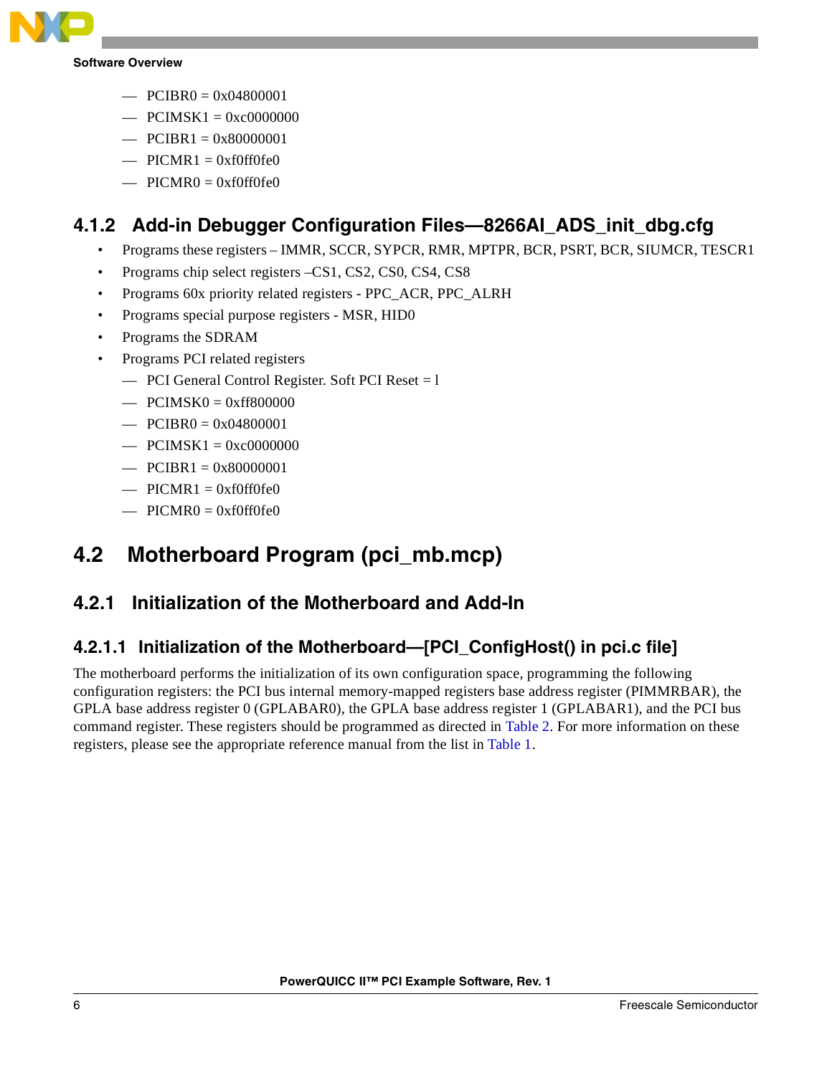

- $-$  PCIBR0 = 0x04800001
- $-$  PCIMSK1 = 0xc0000000
- $-$  PCIBR1 = 0x80000001
- $-$  PICMR1 = 0xf0ff0fe0
- $-$  PICMR0 = 0xf0ff0fe0

### **4.1.2 Add-in Debugger Configuration Files—8266AI\_ADS\_init\_dbg.cfg**

- Programs these registers IMMR, SCCR, SYPCR, RMR, MPTPR, BCR, PSRT, BCR, SIUMCR, TESCR1
- Programs chip select registers –CS1, CS2, CS0, CS4, CS8
- Programs 60x priority related registers PPC ACR, PPC ALRH
- Programs special purpose registers MSR, HID0
- Programs the SDRAM
- Programs PCI related registers
	- PCI General Control Register. Soft PCI Reset = l
	- $-$  PCIMSK0 = 0xff800000
	- $-$  PCIBR0 = 0x04800001
	- $-$  PCIMSK1 = 0xc0000000
	- $-$  PCIBR1 = 0x80000001
	- $-$  PICMR1 = 0xf0ff0fe0
	- $-$  PICMR0 = 0xf0ff0fe0

### **4.2 Motherboard Program (pci\_mb.mcp)**

#### **4.2.1 Initialization of the Motherboard and Add-In**

### **4.2.1.1 Initialization of the Motherboard—[PCI\_ConfigHost() in pci.c file]**

The motherboard performs the initialization of its own configuration space, programming the following configuration registers: the PCI bus internal memory-mapped registers base address register (PIMMRBAR), the GPLA base address register 0 (GPLABAR0), the GPLA base address register 1 (GPLABAR1), and the PCI bus command register. These registers should be programmed as directed in [Table 2.](#page-6-0) For more information on these registers, please see the appropriate reference manual from the list in [Table 1.](#page-1-3)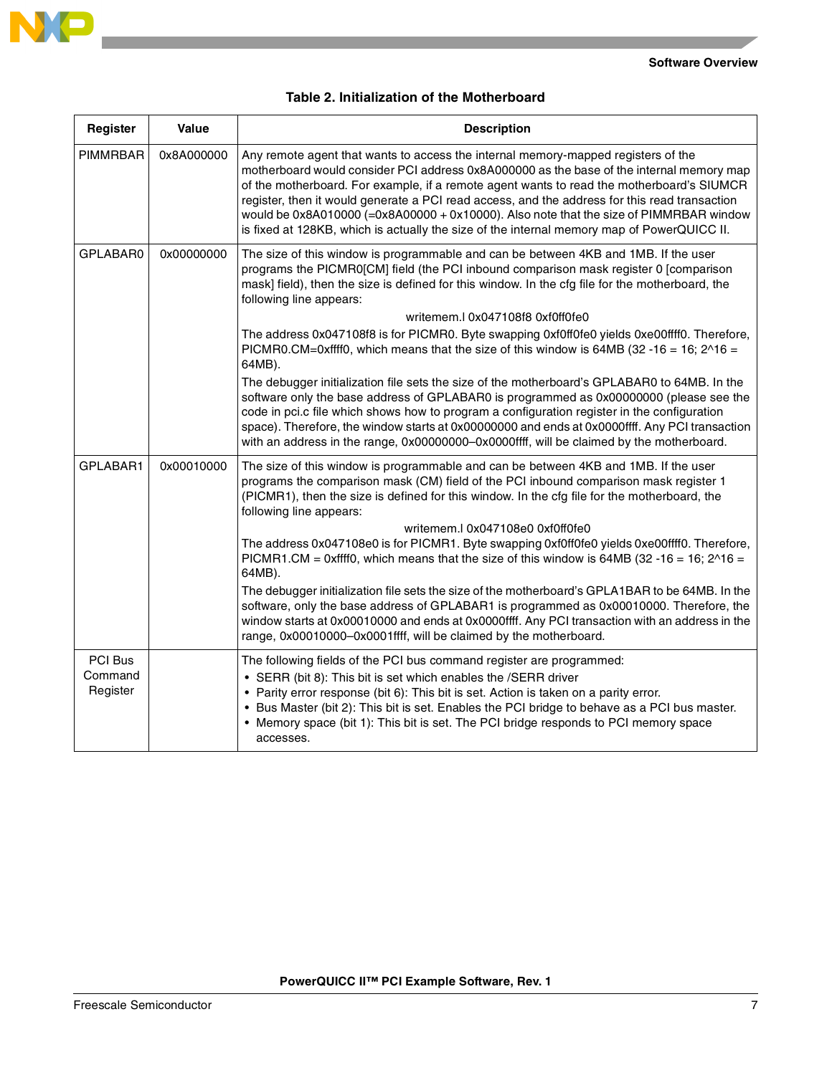

 $\overline{\phantom{a}}$ 

a sa kacamatan ing Kabupatèn Kabupatèn Ing

#### **Table 2. Initialization of the Motherboard**

and the control of the control of the

<span id="page-6-0"></span>

| Register                       | Value      | <b>Description</b>                                                                                                                                                                                                                                                                                                                                                                                                                                                                                                                                                  |
|--------------------------------|------------|---------------------------------------------------------------------------------------------------------------------------------------------------------------------------------------------------------------------------------------------------------------------------------------------------------------------------------------------------------------------------------------------------------------------------------------------------------------------------------------------------------------------------------------------------------------------|
| <b>PIMMRBAR</b>                | 0x8A000000 | Any remote agent that wants to access the internal memory-mapped registers of the<br>motherboard would consider PCI address 0x8A000000 as the base of the internal memory map<br>of the motherboard. For example, if a remote agent wants to read the motherboard's SIUMCR<br>register, then it would generate a PCI read access, and the address for this read transaction<br>would be 0x8A010000 (=0x8A00000 + 0x10000). Also note that the size of PIMMRBAR window<br>is fixed at 128KB, which is actually the size of the internal memory map of PowerQUICC II. |
| GPLABAR0                       | 0x00000000 | The size of this window is programmable and can be between 4KB and 1MB. If the user<br>programs the PICMR0[CM] field (the PCI inbound comparison mask register 0 [comparison<br>mask] field), then the size is defined for this window. In the cfg file for the motherboard, the<br>following line appears:                                                                                                                                                                                                                                                         |
|                                |            | writemem.I 0x047108f8 0xf0ff0fe0                                                                                                                                                                                                                                                                                                                                                                                                                                                                                                                                    |
|                                |            | The address 0x047108f8 is for PICMR0. Byte swapping 0xf0ff0fe0 yields 0xe00ffff0. Therefore,<br>PICMR0.CM=0xffff0, which means that the size of this window is 64MB (32 -16 = 16; $2^{\wedge}16$ =<br>64MB).                                                                                                                                                                                                                                                                                                                                                        |
|                                |            | The debugger initialization file sets the size of the motherboard's GPLABAR0 to 64MB. In the<br>software only the base address of GPLABAR0 is programmed as 0x00000000 (please see the<br>code in pci.c file which shows how to program a configuration register in the configuration<br>space). Therefore, the window starts at 0x00000000 and ends at 0x0000ffff. Any PCI transaction<br>with an address in the range, 0x00000000-0x0000ffff, will be claimed by the motherboard.                                                                                 |
| GPLABAR1                       | 0x00010000 | The size of this window is programmable and can be between 4KB and 1MB. If the user<br>programs the comparison mask (CM) field of the PCI inbound comparison mask register 1<br>(PICMR1), then the size is defined for this window. In the cfg file for the motherboard, the<br>following line appears:                                                                                                                                                                                                                                                             |
|                                |            | writemem.I 0x047108e0 0xf0ff0fe0<br>The address 0x047108e0 is for PICMR1. Byte swapping 0xf0ff0fe0 yields 0xe00ffff0. Therefore,<br>PICMR1.CM = 0xffff0, which means that the size of this window is 64MB (32 -16 = 16; $2^{\wedge}16 =$<br>64MB).                                                                                                                                                                                                                                                                                                                  |
|                                |            | The debugger initialization file sets the size of the motherboard's GPLA1BAR to be 64MB. In the<br>software, only the base address of GPLABAR1 is programmed as 0x00010000. Therefore, the<br>window starts at 0x00010000 and ends at 0x0000ffff. Any PCI transaction with an address in the<br>range, 0x00010000-0x0001ffff, will be claimed by the motherboard.                                                                                                                                                                                                   |
| PCI Bus<br>Command<br>Register |            | The following fields of the PCI bus command register are programmed:<br>• SERR (bit 8): This bit is set which enables the /SERR driver<br>• Parity error response (bit 6): This bit is set. Action is taken on a parity error.<br>• Bus Master (bit 2): This bit is set. Enables the PCI bridge to behave as a PCI bus master.<br>• Memory space (bit 1): This bit is set. The PCI bridge responds to PCI memory space<br>accesses.                                                                                                                                 |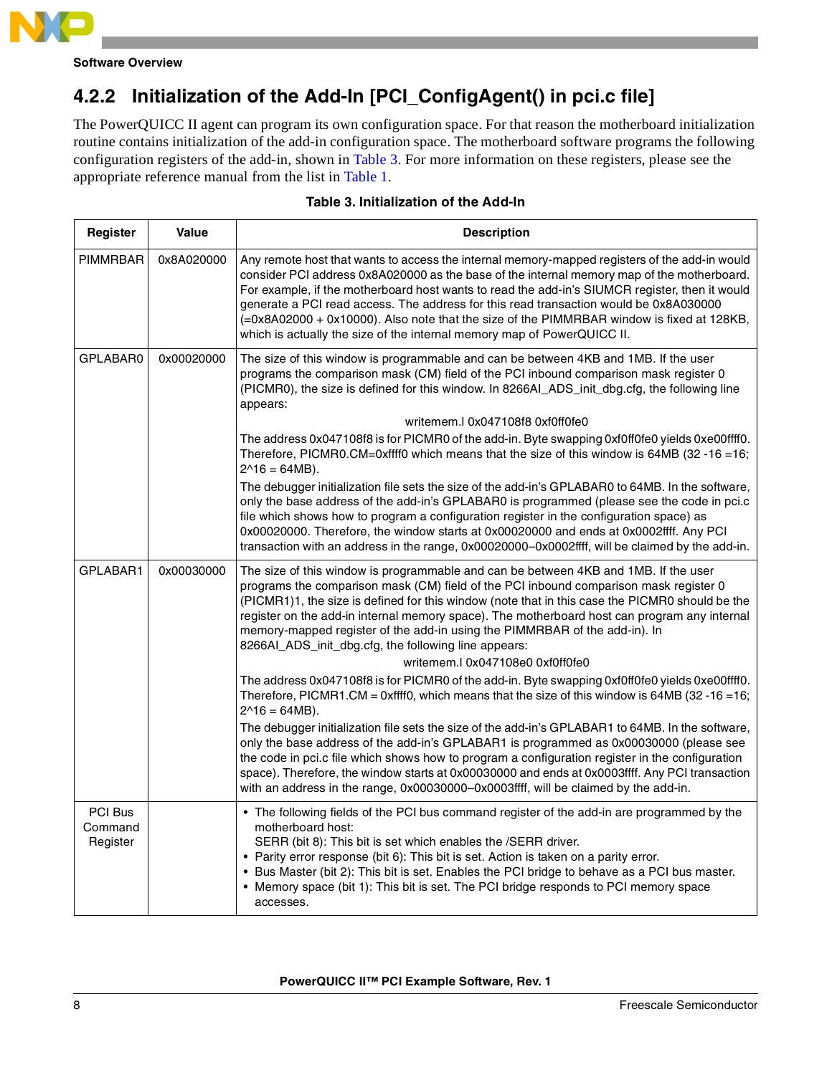

<span id="page-7-0"></span> $\overline{\Gamma}$ 

**Software Overview**

┯

T

## **4.2.2 Initialization of the Add-In [PCI\_ConfigAgent() in pci.c file]**

The PowerQUICC II agent can program its own configuration space. For that reason the motherboard initialization routine contains initialization of the add-in configuration space. The motherboard software programs the following configuration registers of the add-in, shown in [Table 3.](#page-7-0) For more information on these registers, please see the appropriate reference manual from the list in [Table 1.](#page-1-3)

| Register                              | Value      | <b>Description</b>                                                                                                                                                                                                                                                                                                                                                                                                                                                                                                                                             |
|---------------------------------------|------------|----------------------------------------------------------------------------------------------------------------------------------------------------------------------------------------------------------------------------------------------------------------------------------------------------------------------------------------------------------------------------------------------------------------------------------------------------------------------------------------------------------------------------------------------------------------|
| <b>PIMMRBAR</b>                       | 0x8A020000 | Any remote host that wants to access the internal memory-mapped registers of the add-in would<br>consider PCI address 0x8A020000 as the base of the internal memory map of the motherboard.<br>For example, if the motherboard host wants to read the add-in's SIUMCR register, then it would<br>generate a PCI read access. The address for this read transaction would be 0x8A030000<br>(=0x8A02000 + 0x10000). Also note that the size of the PIMMRBAR window is fixed at 128KB,<br>which is actually the size of the internal memory map of PowerQUICC II. |
| GPLABAR0                              | 0x00020000 | The size of this window is programmable and can be between 4KB and 1MB. If the user<br>programs the comparison mask (CM) field of the PCI inbound comparison mask register 0<br>(PICMR0), the size is defined for this window. In 8266AI_ADS_init_dbg.cfg, the following line<br>appears:                                                                                                                                                                                                                                                                      |
|                                       |            | writemem.I 0x047108f8 0xf0ff0fe0                                                                                                                                                                                                                                                                                                                                                                                                                                                                                                                               |
|                                       |            | The address 0x047108f8 is for PICMR0 of the add-in. Byte swapping 0xf0ff0fe0 yields 0xe00ffff0.<br>Therefore, PICMR0.CM=0xffff0 which means that the size of this window is 64MB (32 -16 =16;<br>$2^{\wedge}16 = 64MB$ ).                                                                                                                                                                                                                                                                                                                                      |
|                                       |            | The debugger initialization file sets the size of the add-in's GPLABAR0 to 64MB. In the software,<br>only the base address of the add-in's GPLABAR0 is programmed (please see the code in pci.c<br>file which shows how to program a configuration register in the configuration space) as<br>0x00020000. Therefore, the window starts at 0x00020000 and ends at 0x0002ffff. Any PCI<br>transaction with an address in the range, 0x00020000-0x0002ffff, will be claimed by the add-in.                                                                        |
| GPLABAR1                              | 0x00030000 | The size of this window is programmable and can be between 4KB and 1MB. If the user<br>programs the comparison mask (CM) field of the PCI inbound comparison mask register 0<br>(PICMR1)1, the size is defined for this window (note that in this case the PICMR0 should be the<br>register on the add-in internal memory space). The motherboard host can program any internal<br>memory-mapped register of the add-in using the PIMMRBAR of the add-in). In<br>8266AI_ADS_init_dbg.cfg, the following line appears:                                          |
|                                       |            | writemem.I 0x047108e0 0xf0ff0fe0                                                                                                                                                                                                                                                                                                                                                                                                                                                                                                                               |
|                                       |            | The address 0x047108f8 is for PICMR0 of the add-in. Byte swapping 0xf0ff0fe0 yields 0xe00ffff0.<br>Therefore, PICMR1.CM = 0xffff0, which means that the size of this window is 64MB (32-16 = 16;<br>$2^{\wedge}16 = 64MB$ ).                                                                                                                                                                                                                                                                                                                                   |
|                                       |            | The debugger initialization file sets the size of the add-in's GPLABAR1 to 64MB. In the software,<br>only the base address of the add-in's GPLABAR1 is programmed as 0x00030000 (please see<br>the code in pci.c file which shows how to program a configuration register in the configuration<br>space). Therefore, the window starts at 0x00030000 and ends at 0x0003ffff. Any PCI transaction<br>with an address in the range, 0x00030000-0x0003ffff, will be claimed by the add-in.                                                                        |
| <b>PCI Bus</b><br>Command<br>Register |            | • The following fields of the PCI bus command register of the add-in are programmed by the<br>motherboard host:<br>SERR (bit 8): This bit is set which enables the /SERR driver.<br>• Parity error response (bit 6): This bit is set. Action is taken on a parity error.<br>• Bus Master (bit 2): This bit is set. Enables the PCI bridge to behave as a PCI bus master.<br>• Memory space (bit 1): This bit is set. The PCI bridge responds to PCI memory space<br>accesses.                                                                                  |

#### **Table 3. Initialization of the Add-In**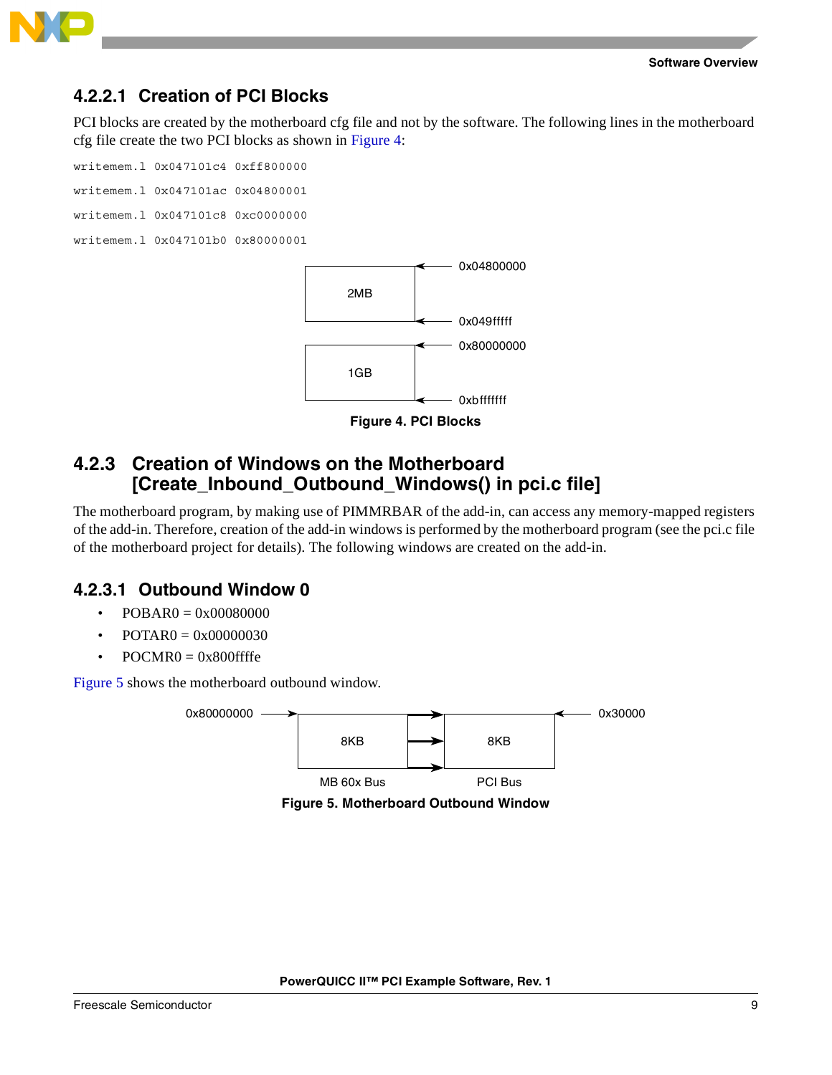



#### **4.2.2.1 Creation of PCI Blocks**

PCI blocks are created by the motherboard cfg file and not by the software. The following lines in the motherboard cfg file create the two PCI blocks as shown in [Figure 4](#page-8-0):

writemem.l 0x047101c4 0xff800000 writemem.l 0x047101ac 0x04800001 writemem.l 0x047101c8 0xc0000000 writemem.l 0x047101b0 0x80000001





### <span id="page-8-2"></span><span id="page-8-0"></span>**4.2.3 Creation of Windows on the Motherboard [Create\_Inbound\_Outbound\_Windows() in pci.c file]**

The motherboard program, by making use of PIMMRBAR of the add-in, can access any memory-mapped registers of the add-in. Therefore, creation of the add-in windows is performed by the motherboard program (see the pci.c file of the motherboard project for details). The following windows are created on the add-in.

#### **4.2.3.1 Outbound Window 0**

- $POBAR0 = 0x00080000$
- $POTAR0 = 0x00000030$
- $POCMR0 = 0x800$ ffffe

<span id="page-8-1"></span>[Figure 5](#page-8-1) shows the motherboard outbound window.



**Figure 5. Motherboard Outbound Window**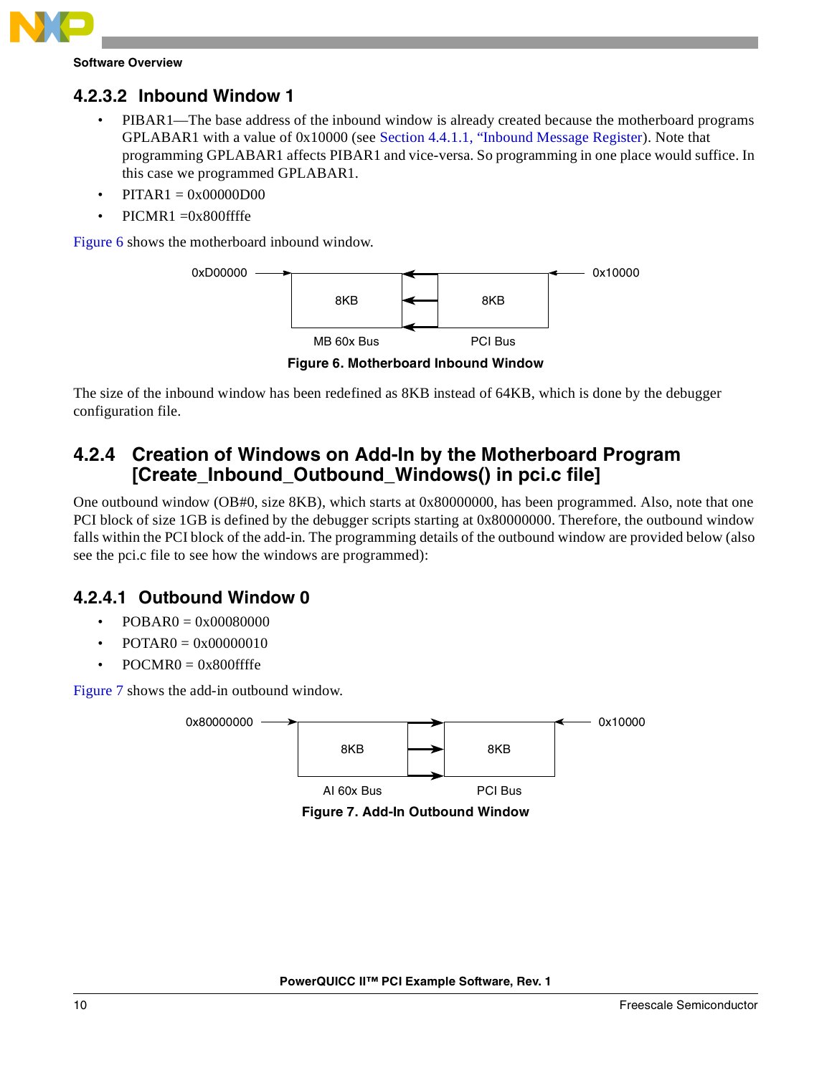

### **4.2.3.2 Inbound Window 1**

- PIBAR1—The base address of the inbound window is already created because the motherboard programs GPLABAR1 with a value of 0x10000 (see [Section 4.4.1.1, "Inbound Message Register](#page-12-0)). Note that programming GPLABAR1 affects PIBAR1 and vice-versa. So programming in one place would suffice. In this case we programmed GPLABAR1.
- $PITARI = 0x000000000$
- $PICMR1 = 0x800$ ffffe

[Figure 6](#page-9-0) shows the motherboard inbound window.



<span id="page-9-0"></span>The size of the inbound window has been redefined as 8KB instead of 64KB, which is done by the debugger configuration file.

### <span id="page-9-2"></span>**4.2.4 Creation of Windows on Add-In by the Motherboard Program [Create\_Inbound\_Outbound\_Windows() in pci.c file]**

One outbound window (OB#0, size 8KB), which starts at 0x80000000, has been programmed. Also, note that one PCI block of size 1GB is defined by the debugger scripts starting at 0x80000000. Therefore, the outbound window falls within the PCI block of the add-in. The programming details of the outbound window are provided below (also see the pci.c file to see how the windows are programmed):

### **4.2.4.1 Outbound Window 0**

- $POBAR0 = 0x00080000$
- POTAR0 =  $0x00000010$
- $POCMR0 = 0x800$ ffffe

<span id="page-9-1"></span>[Figure 7](#page-9-1) shows the add-in outbound window.



**Figure 7. Add-In Outbound Window**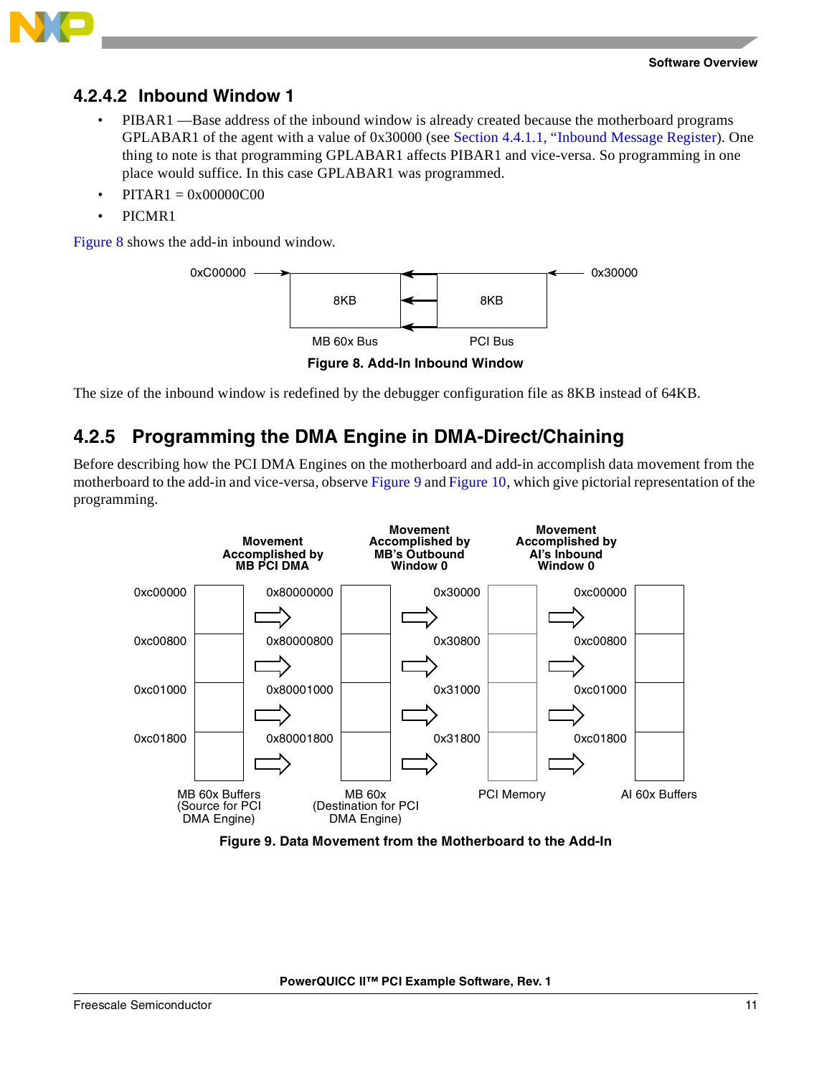

#### **4.2.4.2 Inbound Window 1**

- PIBAR1 —Base address of the inbound window is already created because the motherboard programs GPLABAR1 of the agent with a value of 0x30000 (see [Section 4.4.1.1, "Inbound Message Register\)](#page-12-0). One thing to note is that programming GPLABAR1 affects PIBAR1 and vice-versa. So programming in one place would suffice. In this case GPLABAR1 was programmed.
- $PITARI = 0x00000C00$
- PICMR1

[Figure 8](#page-10-1) shows the add-in inbound window.



<span id="page-10-1"></span>The size of the inbound window is redefined by the debugger configuration file as 8KB instead of 64KB.

### **4.2.5 Programming the DMA Engine in DMA-Direct/Chaining**

Before describing how the PCI DMA Engines on the motherboard and add-in accomplish data movement from the motherboard to the add-in and vice-versa, observe [Figure 9](#page-10-0) and [Figure 10,](#page-12-1) which give pictorial representation of the programming.



<span id="page-10-0"></span>**Figure 9. Data Movement from the Motherboard to the Add-In**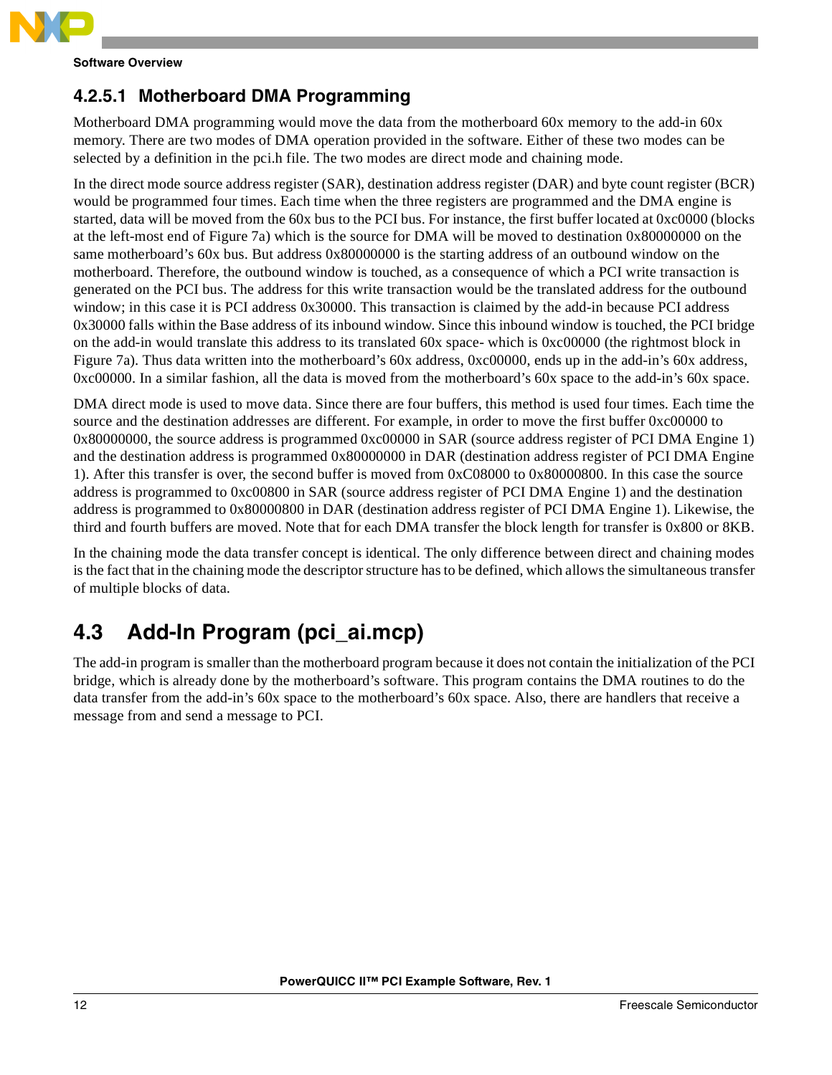

### **4.2.5.1 Motherboard DMA Programming**

Motherboard DMA programming would move the data from the motherboard 60x memory to the add-in 60x memory. There are two modes of DMA operation provided in the software. Either of these two modes can be selected by a definition in the pci.h file. The two modes are direct mode and chaining mode.

In the direct mode source address register (SAR), destination address register (DAR) and byte count register (BCR) would be programmed four times. Each time when the three registers are programmed and the DMA engine is started, data will be moved from the 60x bus to the PCI bus. For instance, the first buffer located at 0xc0000 (blocks at the left-most end of Figure 7a) which is the source for DMA will be moved to destination 0x80000000 on the same motherboard's 60x bus. But address 0x80000000 is the starting address of an outbound window on the motherboard. Therefore, the outbound window is touched, as a consequence of which a PCI write transaction is generated on the PCI bus. The address for this write transaction would be the translated address for the outbound window; in this case it is PCI address 0x30000. This transaction is claimed by the add-in because PCI address 0x30000 falls within the Base address of its inbound window. Since this inbound window is touched, the PCI bridge on the add-in would translate this address to its translated 60x space- which is 0xc00000 (the rightmost block in Figure 7a). Thus data written into the motherboard's 60x address, 0xc00000, ends up in the add-in's 60x address, 0xc00000. In a similar fashion, all the data is moved from the motherboard's 60x space to the add-in's 60x space.

DMA direct mode is used to move data. Since there are four buffers, this method is used four times. Each time the source and the destination addresses are different. For example, in order to move the first buffer 0xc00000 to 0x80000000, the source address is programmed 0xc00000 in SAR (source address register of PCI DMA Engine 1) and the destination address is programmed 0x80000000 in DAR (destination address register of PCI DMA Engine 1). After this transfer is over, the second buffer is moved from 0xC08000 to 0x80000800. In this case the source address is programmed to 0xc00800 in SAR (source address register of PCI DMA Engine 1) and the destination address is programmed to 0x80000800 in DAR (destination address register of PCI DMA Engine 1). Likewise, the third and fourth buffers are moved. Note that for each DMA transfer the block length for transfer is 0x800 or 8KB.

In the chaining mode the data transfer concept is identical. The only difference between direct and chaining modes is the fact that in the chaining mode the descriptor structure has to be defined, which allows the simultaneous transfer of multiple blocks of data.

## **4.3 Add-In Program (pci\_ai.mcp)**

The add-in program is smaller than the motherboard program because it does not contain the initialization of the PCI bridge, which is already done by the motherboard's software. This program contains the DMA routines to do the data transfer from the add-in's 60x space to the motherboard's 60x space. Also, there are handlers that receive a message from and send a message to PCI.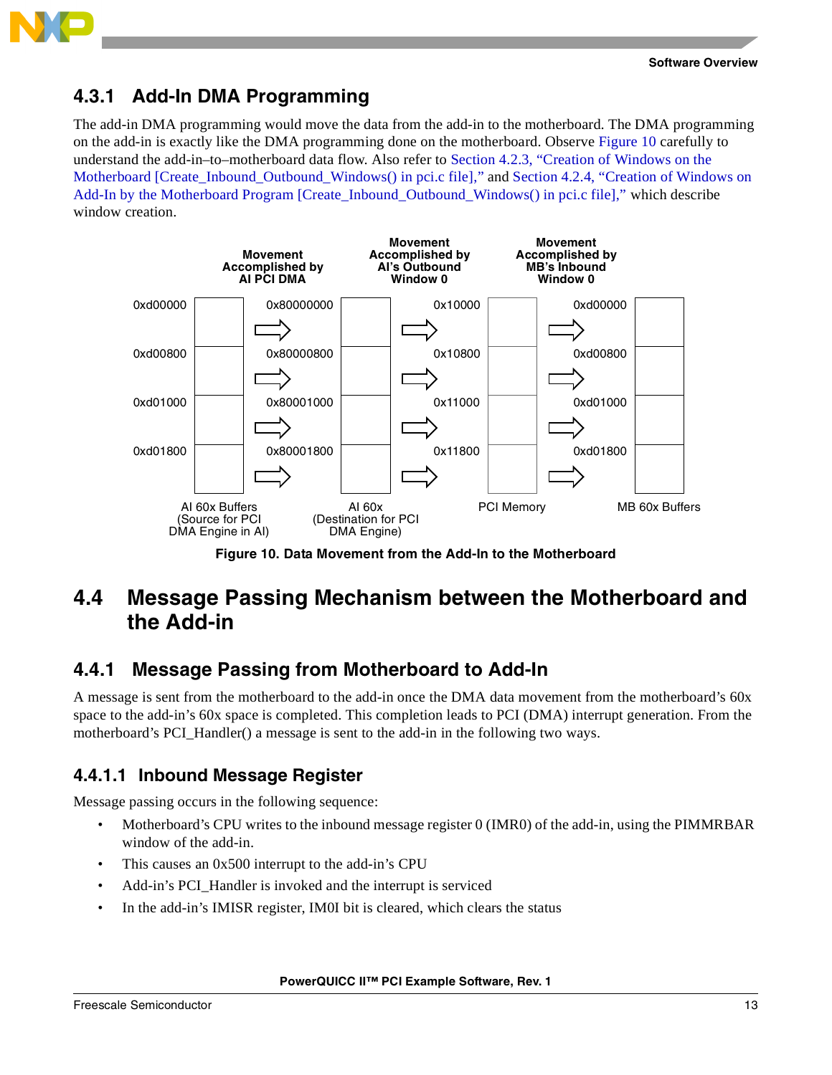



### **4.3.1 Add-In DMA Programming**

The add-in DMA programming would move the data from the add-in to the motherboard. The DMA programming on the add-in is exactly like the DMA programming done on the motherboard. Observe [Figure 10](#page-12-1) carefully to understand the add-in–to–motherboard data flow. Also refer to [Section 4.2.3, "Creation of Windows on the](#page-8-2)  [Motherboard \[Create\\_Inbound\\_Outbound\\_Windows\(\) in pci.c file\],](#page-8-2)" and [Section 4.2.4, "Creation of Windows on](#page-9-2)  [Add-In by the Motherboard Program \[Create\\_Inbound\\_Outbound\\_Windows\(\) in pci.c file\],](#page-9-2)" which describe window creation.



**Figure 10. Data Movement from the Add-In to the Motherboard**

## <span id="page-12-1"></span>**4.4 Message Passing Mechanism between the Motherboard and the Add-in**

### **4.4.1 Message Passing from Motherboard to Add-In**

A message is sent from the motherboard to the add-in once the DMA data movement from the motherboard's 60x space to the add-in's 60x space is completed. This completion leads to PCI (DMA) interrupt generation. From the motherboard's PCI\_Handler() a message is sent to the add-in in the following two ways.

#### <span id="page-12-0"></span>**4.4.1.1 Inbound Message Register**

Message passing occurs in the following sequence:

- Motherboard's CPU writes to the inbound message register 0 (IMR0) of the add-in, using the PIMMRBAR window of the add-in.
- This causes an 0x500 interrupt to the add-in's CPU
- Add-in's PCI Handler is invoked and the interrupt is serviced
- In the add-in's IMISR register, IM0I bit is cleared, which clears the status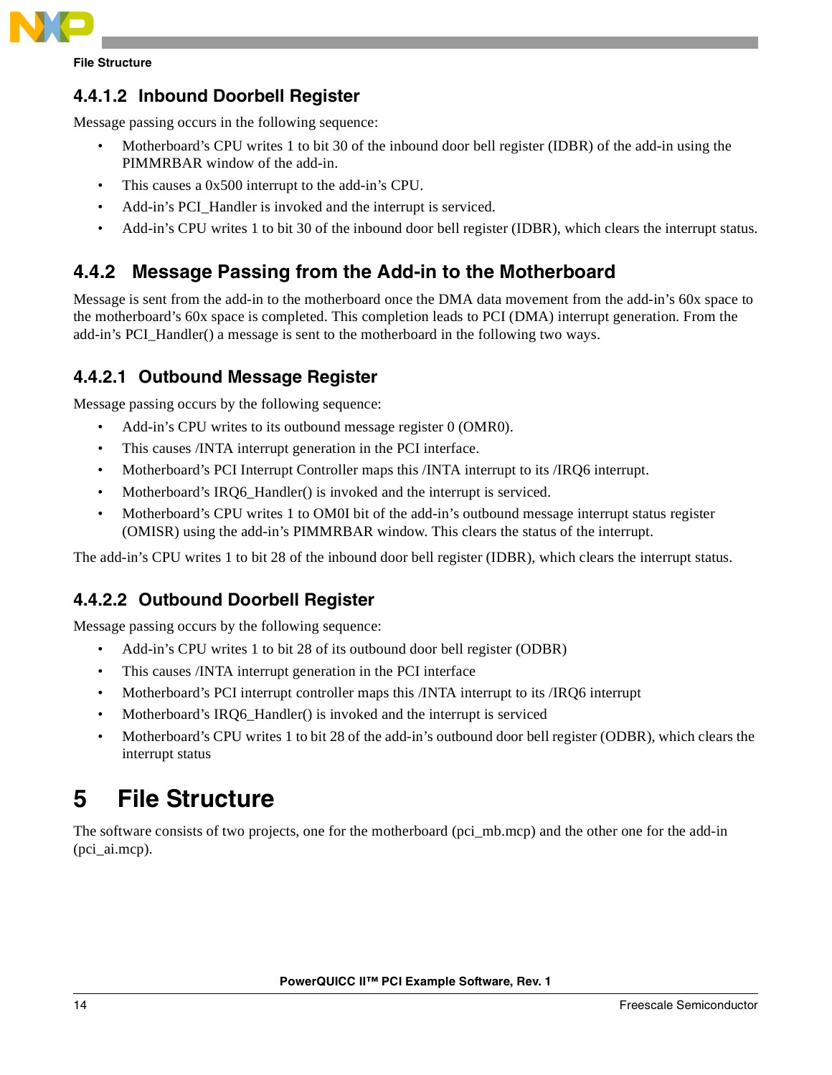

### **4.4.1.2 Inbound Doorbell Register**

Message passing occurs in the following sequence:

- Motherboard's CPU writes 1 to bit 30 of the inbound door bell register (IDBR) of the add-in using the PIMMRBAR window of the add-in.
- This causes a 0x500 interrupt to the add-in's CPU.
- Add-in's PCI\_Handler is invoked and the interrupt is serviced.
- Add-in's CPU writes 1 to bit 30 of the inbound door bell register (IDBR), which clears the interrupt status.

### **4.4.2 Message Passing from the Add-in to the Motherboard**

Message is sent from the add-in to the motherboard once the DMA data movement from the add-in's 60x space to the motherboard's 60x space is completed. This completion leads to PCI (DMA) interrupt generation. From the add-in's PCI\_Handler() a message is sent to the motherboard in the following two ways.

#### **4.4.2.1 Outbound Message Register**

Message passing occurs by the following sequence:

- Add-in's CPU writes to its outbound message register 0 (OMR0).
- This causes /INTA interrupt generation in the PCI interface.
- Motherboard's PCI Interrupt Controller maps this /INTA interrupt to its /IRQ6 interrupt.
- Motherboard's IRQ6\_Handler() is invoked and the interrupt is serviced.
- Motherboard's CPU writes 1 to OM0I bit of the add-in's outbound message interrupt status register (OMISR) using the add-in's PIMMRBAR window. This clears the status of the interrupt.

The add-in's CPU writes 1 to bit 28 of the inbound door bell register (IDBR), which clears the interrupt status.

### **4.4.2.2 Outbound Doorbell Register**

Message passing occurs by the following sequence:

- Add-in's CPU writes 1 to bit 28 of its outbound door bell register (ODBR)
- This causes /INTA interrupt generation in the PCI interface
- Motherboard's PCI interrupt controller maps this /INTA interrupt to its /IRQ6 interrupt
- Motherboard's IRQ6\_Handler() is invoked and the interrupt is serviced
- Motherboard's CPU writes 1 to bit 28 of the add-in's outbound door bell register (ODBR), which clears the interrupt status

## <span id="page-13-0"></span>**5 File Structure**

The software consists of two projects, one for the motherboard (pci\_mb.mcp) and the other one for the add-in (pci\_ai.mcp).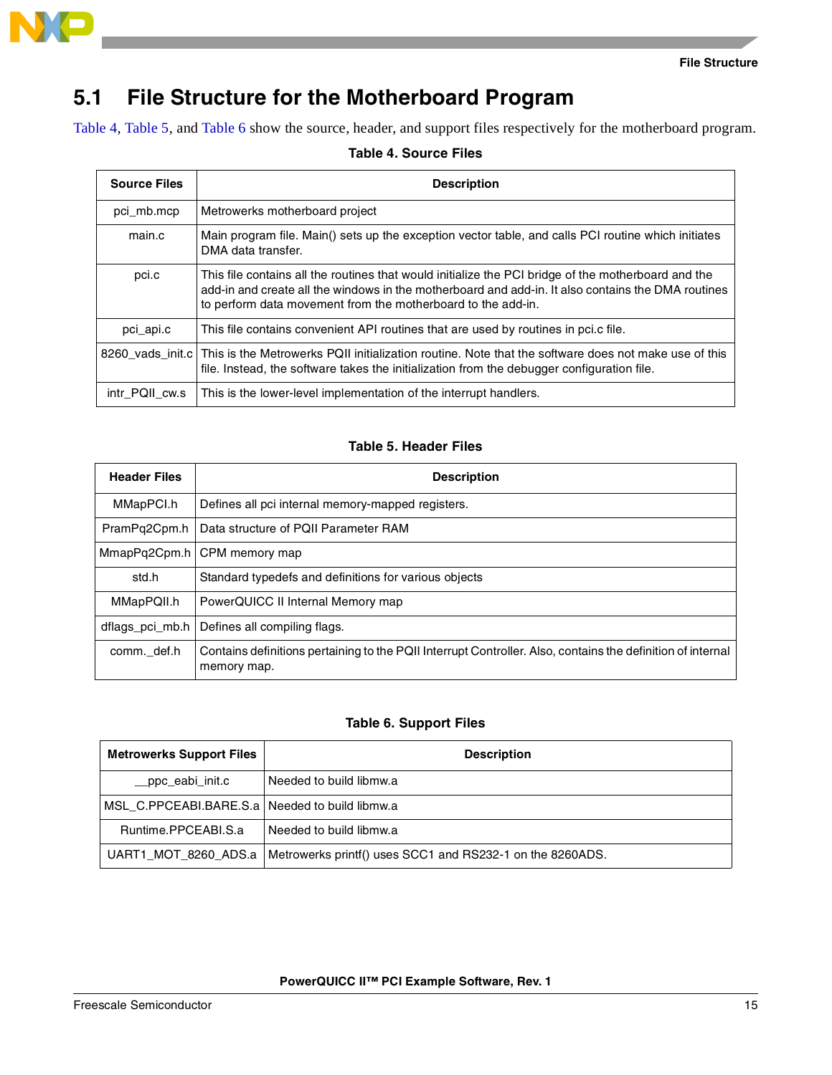

## **5.1 File Structure for the Motherboard Program**

<span id="page-14-0"></span>[Table 4](#page-14-0), [Table 5,](#page-14-1) and [Table 6](#page-14-2) show the source, header, and support files respectively for the motherboard program.

#### **Table 4. Source Files**

| <b>Source Files</b> | <b>Description</b>                                                                                                                                                                                                                                                        |
|---------------------|---------------------------------------------------------------------------------------------------------------------------------------------------------------------------------------------------------------------------------------------------------------------------|
| pci_mb.mcp          | Metrowerks motherboard project                                                                                                                                                                                                                                            |
| main.c              | Main program file. Main() sets up the exception vector table, and calls PCI routine which initiates<br>DMA data transfer.                                                                                                                                                 |
| pci.c               | This file contains all the routines that would initialize the PCI bridge of the motherboard and the<br>add-in and create all the windows in the motherboard and add-in. It also contains the DMA routines<br>to perform data movement from the motherboard to the add-in. |
| pci_api.c           | This file contains convenient API routines that are used by routines in pci.c file.                                                                                                                                                                                       |
|                     | 8260 vads init.c   This is the Metrowerks PQII initialization routine. Note that the software does not make use of this<br>file. Instead, the software takes the initialization from the debugger configuration file.                                                     |
| intr PQII cw.s      | This is the lower-level implementation of the interrupt handlers.                                                                                                                                                                                                         |

#### **Table 5. Header Files**

<span id="page-14-1"></span>

| <b>Header Files</b> | <b>Description</b>                                                                                                         |  |
|---------------------|----------------------------------------------------------------------------------------------------------------------------|--|
| MMapPCI.h           | Defines all pci internal memory-mapped registers.                                                                          |  |
| PramPg2Cpm.h        | Data structure of PQII Parameter RAM                                                                                       |  |
|                     | MmapPq2Cpm.h   CPM memory map                                                                                              |  |
| std.h               | Standard typedefs and definitions for various objects                                                                      |  |
| MMapPQII.h          | PowerQUICC II Internal Memory map                                                                                          |  |
| dflags pci mb.h     | Defines all compiling flags.                                                                                               |  |
| comm._def.h         | Contains definitions pertaining to the PQII Interrupt Controller. Also, contains the definition of internal<br>memory map. |  |

#### **Table 6. Support Files**

<span id="page-14-2"></span>

| <b>Metrowerks Support Files</b>                  | <b>Description</b>                                                               |
|--------------------------------------------------|----------------------------------------------------------------------------------|
| ppc eabi init.c                                  | Needed to build libmw.a                                                          |
| MSL C.PPCEABI.BARE.S.a   Needed to build libmw.a |                                                                                  |
| Runtime.PPCEABI.S.a                              | Needed to build libmw.a                                                          |
|                                                  | UART1_MOT_8260_ADS.a   Metrowerks printf() uses SCC1 and RS232-1 on the 8260ADS. |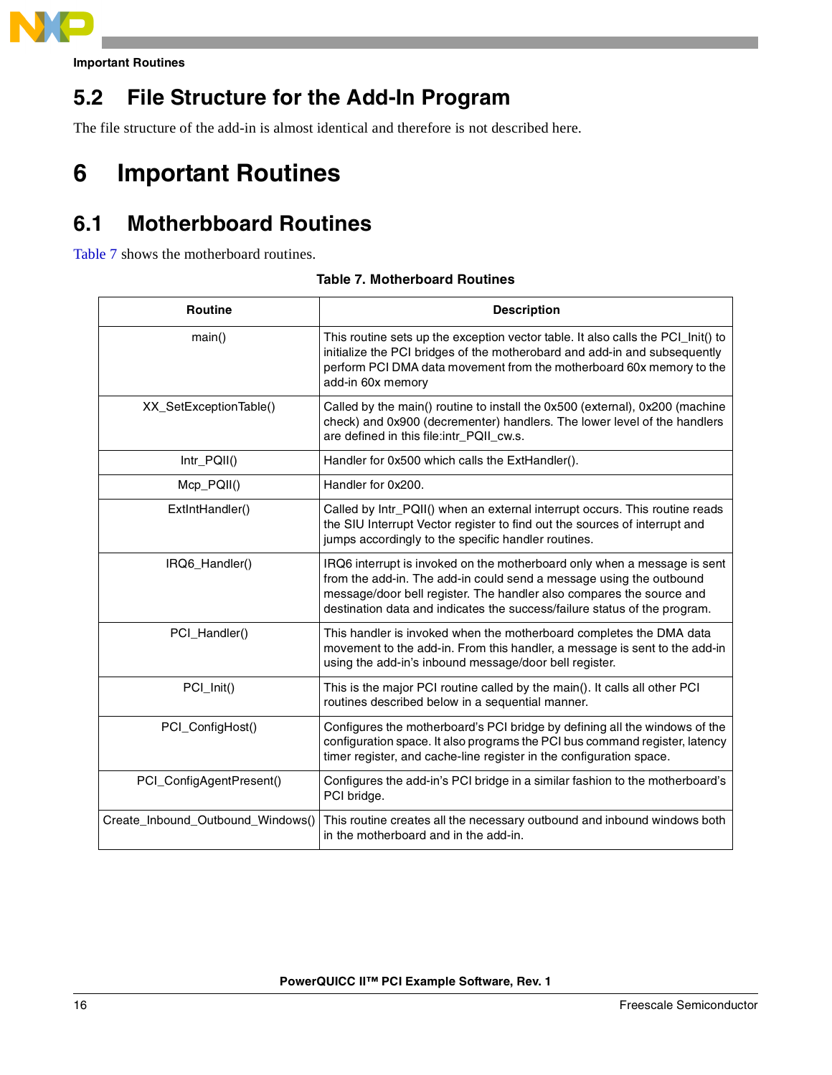

**Important Routines**

## **5.2 File Structure for the Add-In Program**

The file structure of the add-in is almost identical and therefore is not described here.

## <span id="page-15-0"></span>**6 Important Routines**

## **6.1 Motherbboard Routines**

<span id="page-15-1"></span>[Table 7](#page-15-1) shows the motherboard routines.

#### **Table 7. Motherboard Routines**

| <b>Routine</b>                    | <b>Description</b>                                                                                                                                                                                                                                                                                   |
|-----------------------------------|------------------------------------------------------------------------------------------------------------------------------------------------------------------------------------------------------------------------------------------------------------------------------------------------------|
| main()                            | This routine sets up the exception vector table. It also calls the PCI_Init() to<br>initialize the PCI bridges of the motherobard and add-in and subsequently<br>perform PCI DMA data movement from the motherboard 60x memory to the<br>add-in 60x memory                                           |
| XX_SetExceptionTable()            | Called by the main() routine to install the 0x500 (external), 0x200 (machine<br>check) and 0x900 (decrementer) handlers. The lower level of the handlers<br>are defined in this file:intr_PQII_cw.s.                                                                                                 |
| $Int_PQII()$                      | Handler for 0x500 which calls the ExtHandler().                                                                                                                                                                                                                                                      |
| Mcp_PQII()                        | Handler for 0x200.                                                                                                                                                                                                                                                                                   |
| ExtintHandler()                   | Called by Intr_PQII() when an external interrupt occurs. This routine reads<br>the SIU Interrupt Vector register to find out the sources of interrupt and<br>jumps accordingly to the specific handler routines.                                                                                     |
| IRQ6_Handler()                    | IRQ6 interrupt is invoked on the motherboard only when a message is sent<br>from the add-in. The add-in could send a message using the outbound<br>message/door bell register. The handler also compares the source and<br>destination data and indicates the success/failure status of the program. |
| PCI_Handler()                     | This handler is invoked when the motherboard completes the DMA data<br>movement to the add-in. From this handler, a message is sent to the add-in<br>using the add-in's inbound message/door bell register.                                                                                          |
| PCI_Init()                        | This is the major PCI routine called by the main(). It calls all other PCI<br>routines described below in a sequential manner.                                                                                                                                                                       |
| PCI_ConfigHost()                  | Configures the motherboard's PCI bridge by defining all the windows of the<br>configuration space. It also programs the PCI bus command register, latency<br>timer register, and cache-line register in the configuration space.                                                                     |
| PCI_ConfigAgentPresent()          | Configures the add-in's PCI bridge in a similar fashion to the motherboard's<br>PCI bridge.                                                                                                                                                                                                          |
| Create_Inbound_Outbound_Windows() | This routine creates all the necessary outbound and inbound windows both<br>in the motherboard and in the add-in.                                                                                                                                                                                    |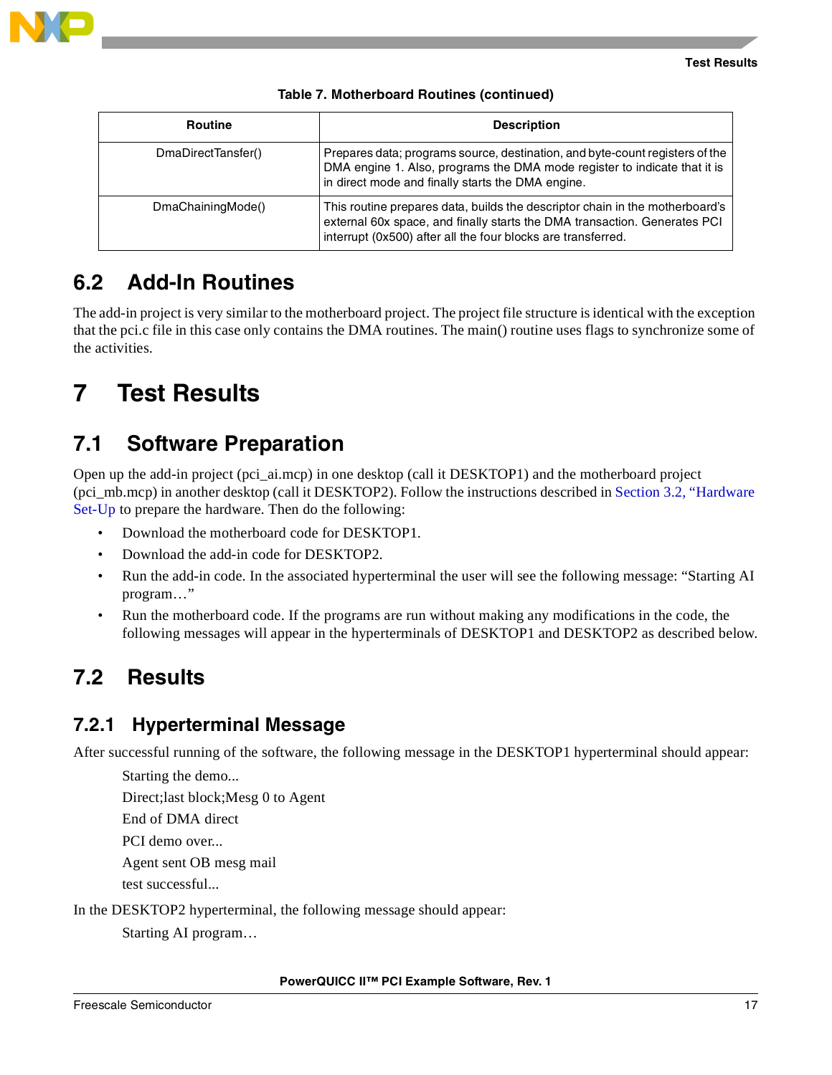

| <b>Routine</b>     | <b>Description</b>                                                                                                                                                                                                        |
|--------------------|---------------------------------------------------------------------------------------------------------------------------------------------------------------------------------------------------------------------------|
| DmaDirectTansfer() | Prepares data; programs source, destination, and byte-count registers of the<br>DMA engine 1. Also, programs the DMA mode register to indicate that it is<br>in direct mode and finally starts the DMA engine.            |
| DmaChainingMode()  | This routine prepares data, builds the descriptor chain in the motherboard's<br>external 60x space, and finally starts the DMA transaction. Generates PCI<br>interrupt (0x500) after all the four blocks are transferred. |

#### **Table 7. Motherboard Routines (continued)**

## **6.2 Add-In Routines**

The add-in project is very similar to the motherboard project. The project file structure is identical with the exception that the pci.c file in this case only contains the DMA routines. The main() routine uses flags to synchronize some of the activities.

## <span id="page-16-0"></span>**7 Test Results**

## **7.1 Software Preparation**

Open up the add-in project (pci\_ai.mcp) in one desktop (call it DESKTOP1) and the motherboard project (pci\_mb.mcp) in another desktop (call it DESKTOP2). Follow the instructions described in [Section 3.2, "Hardware](#page-3-2)  [Set-Up](#page-3-2) to prepare the hardware. Then do the following:

- Download the motherboard code for DESKTOP1.
- Download the add-in code for DESKTOP2.
- Run the add-in code. In the associated hyperterminal the user will see the following message: "Starting AI program…"
- Run the motherboard code. If the programs are run without making any modifications in the code, the following messages will appear in the hyperterminals of DESKTOP1 and DESKTOP2 as described below.

## **7.2 Results**

### **7.2.1 Hyperterminal Message**

After successful running of the software, the following message in the DESKTOP1 hyperterminal should appear:

Starting the demo... Direct;last block;Mesg 0 to Agent End of DMA direct PCI demo over...

Agent sent OB mesg mail

test successful...

In the DESKTOP2 hyperterminal, the following message should appear:

Starting AI program…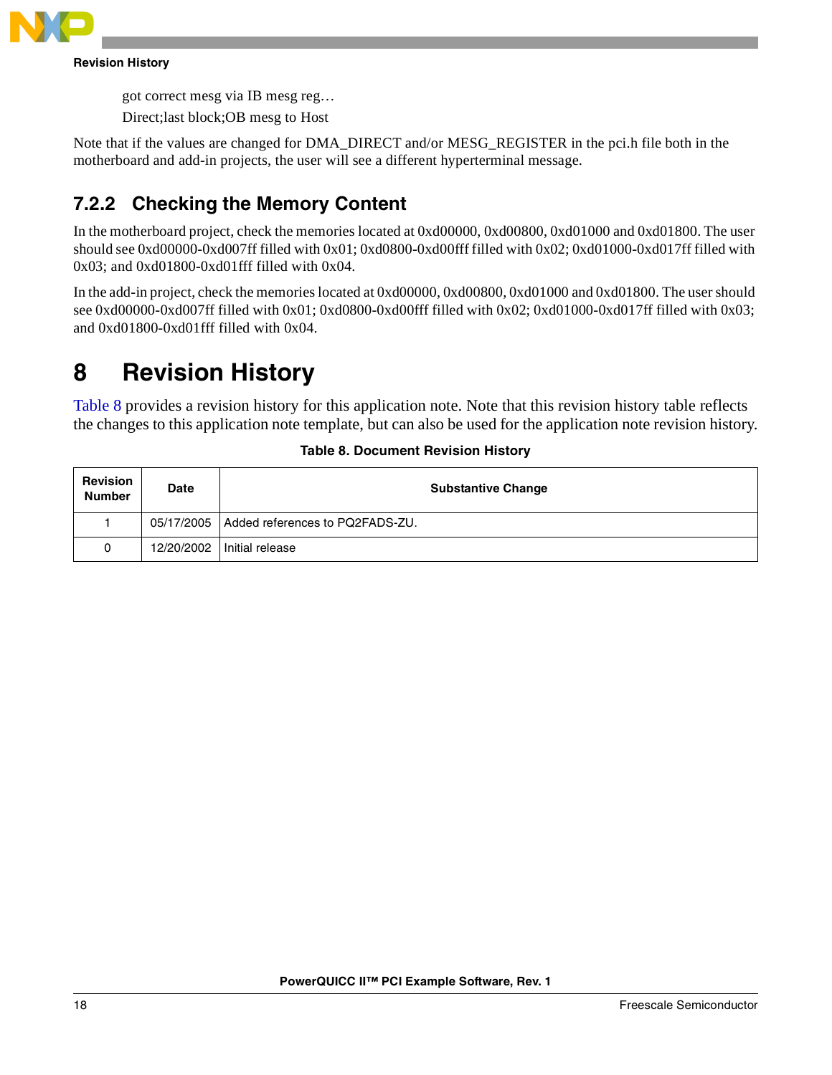

**Revision History**

got correct mesg via IB mesg reg…

Direct;last block;OB mesg to Host

Note that if the values are changed for DMA\_DIRECT and/or MESG\_REGISTER in the pci.h file both in the motherboard and add-in projects, the user will see a different hyperterminal message.

## **7.2.2 Checking the Memory Content**

In the motherboard project, check the memories located at 0xd00000, 0xd00800, 0xd01000 and 0xd01800. The user should see 0xd00000-0xd007ff filled with 0x01; 0xd0800-0xd00fff filled with 0x02; 0xd01000-0xd017ff filled with 0x03; and 0xd01800-0xd01fff filled with 0x04.

In the add-in project, check the memories located at 0xd00000, 0xd00800, 0xd01000 and 0xd01800. The user should see 0xd00000-0xd007ff filled with 0x01; 0xd0800-0xd00fff filled with 0x02; 0xd01000-0xd017ff filled with 0x03; and 0xd01800-0xd01fff filled with 0x04.

## <span id="page-17-0"></span>**8 Revision History**

[Table 8](#page-17-1) provides a revision history for this application note. Note that this revision history table reflects the changes to this application note template, but can also be used for the application note revision history.

<span id="page-17-1"></span>

| <b>Revision</b><br><b>Number</b> | Date | <b>Substantive Change</b>                    |
|----------------------------------|------|----------------------------------------------|
|                                  |      | 05/17/2005   Added references to PQ2FADS-ZU. |
|                                  |      | 12/20/2002   Initial release                 |

#### **Table 8. Document Revision History**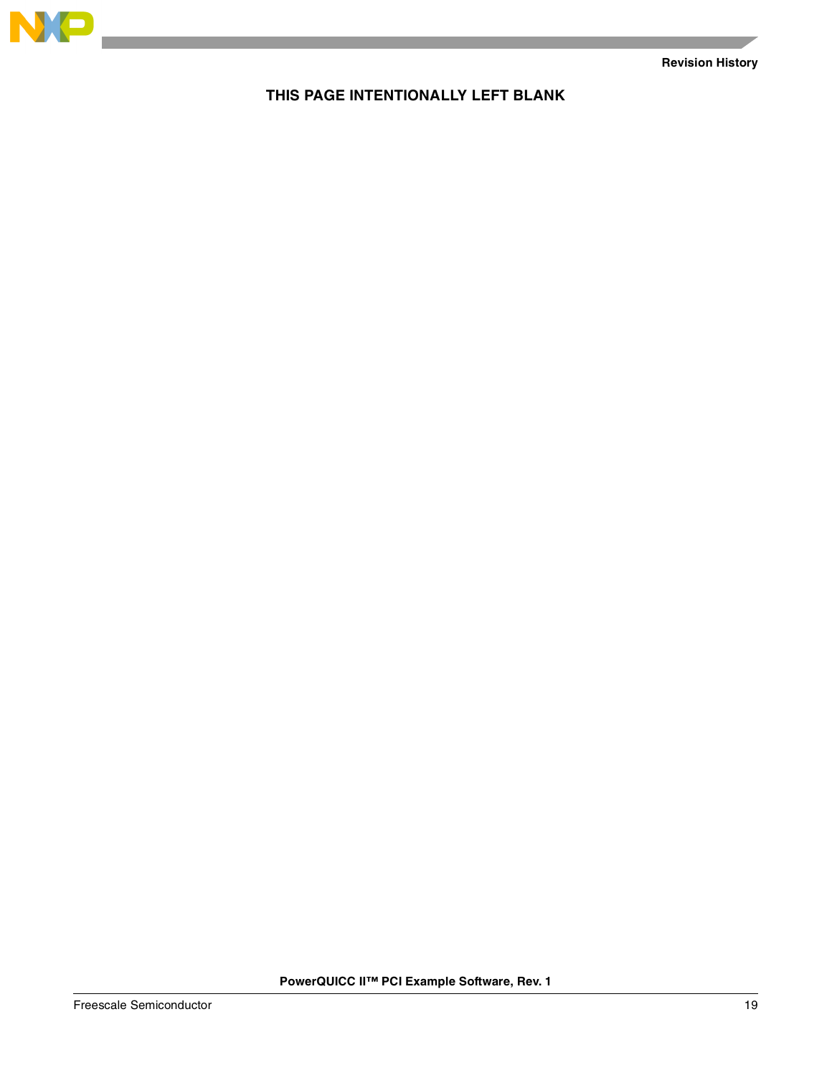

**Revision History**

#### **THIS PAGE INTENTIONALLY LEFT BLANK**